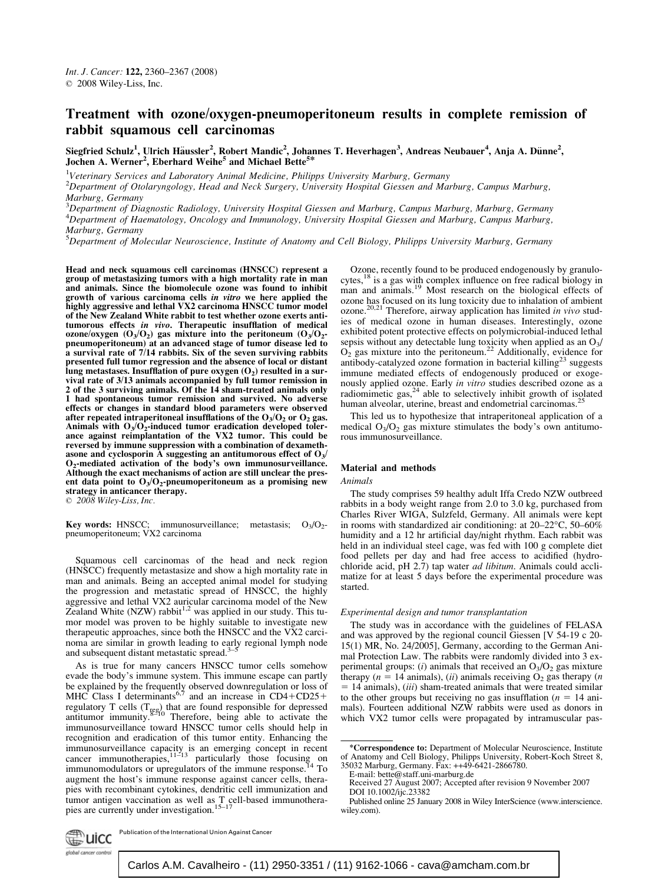# Treatment with ozone/oxygen-pneumoperitoneum results in complete remission of rabbit squamous cell carcinomas

Siegfried Schulz<sup>1</sup>, Ulrich Häussler<sup>2</sup>, Robert Mandic<sup>2</sup>, Johannes T. Heverhagen<sup>3</sup>, Andreas Neubauer<sup>4</sup>, Anja A. Dünne<sup>2</sup>, Jochen A. Werner<sup>2</sup>, Eberhard Weihe<sup>5</sup> and Michael Bette<sup>5\*</sup>

<sup>1</sup>Veterinary Services and Laboratory Animal Medicine, Philipps University Marburg, Germany

<sup>2</sup>Department of Otolaryngology, Head and Neck Surgery, University Hospital Giessen and Marburg, Campus Marburg, Marburg, Germany

 $^3$ Department of Diagnostic Radiology, University Hospital Giessen and Marburg, Campus Marburg, Marburg, Germany <sup>4</sup>Department of Haematology, Oncology and Immunology, University Hospital Giessen and Marburg, Campus Marburg, Marburg, Germany

<sup>5</sup>Department of Molecular Neuroscience, Institute of Anatomy and Cell Biology, Philipps University Marburg, Germany

Head and neck squamous cell carcinomas (HNSCC) represent a group of metastasizing tumors with a high mortality rate in man and animals. Since the biomolecule ozone was found to inhibit growth of various carcinoma cells in vitro we here applied the highly aggressive and lethal VX2 carcinoma HNSCC tumor model of the New Zealand White rabbit to test whether ozone exerts antitumorous effects *in vivo*. Therapeutic insufflation of medical ozone/oxygen  $(O_3/O_2)$  gas mixture into the peritoneum  $(O_3/O_2)$ pneumoperitoneum) at an advanced stage of tumor disease led to a survival rate of  $7/14$  rabbits. Six of the seven surviving rabbits presented full tumor regression and the absence of local or distant lung metastases. Insufflation of pure oxygen  $(O_2)$  resulted in a survival rate of 3/13 animals accompanied by full tumor remission in 2 of the 3 surviving animals. Of the 14 sham-treated animals only 1 had spontaneous tumor remission and survived. No adverse effects or changes in standard blood parameters were observed after repeated intraperitoneal insufflations of the  $O_3/O_2$  or  $O_2$  gas. Animals with  $O_3/O_2$ -induced tumor eradication developed tolerance against reimplantation of the VX2 tumor. This could be reversed by immune suppression with a combination of dexamethasone and cyclosporin A suggesting an antitumorous effect of  $O_{3/2}$  $O<sub>2</sub>$ -mediated activation of the body's own immunosurveillance. Although the exact mechanisms of action are still unclear the present data point to  $O_3/O_2$ -pneumoperitoneum as a promising new strategy in anticancer therapy.

 $\odot$  2008 Wiley-Liss, Inc.

**Key words:** HNSCC; immunosurveillance; metastasis;  $O_3/O_2$ pneumoperitoneum; VX2 carcinoma

Squamous cell carcinomas of the head and neck region (HNSCC) frequently metastasize and show a high mortality rate in man and animals. Being an accepted animal model for studying the progression and metastatic spread of HNSCC, the highly aggressive and lethal VX2 auricular carcinoma model of the New<br>Zealand White (NZW) rabbit<sup>1,2</sup> was applied in our study. This tumor model was proven to be highly suitable to investigate new therapeutic approaches, since both the HNSCC and the VX2 carcinoma are similar in growth leading to early regional lymph node and subsequent distant metastatic spread.<sup>3–5</sup>

As is true for many cancers HNSCC tumor cells somehow evade the body's immune system. This immune escape can partly be explained by the frequently observed downregulation or loss of MHC Class I determinants<sup>6,7</sup> and an increase in CD4+CD25+ regulatory T cells ( $T_{\text{rep}}$ ) that are found responsible for depressed antitumor immunity.<sup>8–10</sup> Therefore, being able to activate the immunosurveillance toward HNSCC tumor cells should help in recognition and eradication of this tumor entity. Enhancing the immunosurveillance capacity is an emerging concept in recent cancer immunotherapies,<sup>11–13</sup> particularly those focusing on immunomodulators or upregulators of the immune response.<sup>14</sup> To augment the host's immune response against cancer cells, therapies with recombinant cytokines, dendritic cell immunization and tumor antigen vaccination as well as T cell-based immunothera-pies are currently under investigation.15–17

Ozone, recently found to be produced endogenously by granulocytes,<sup>18</sup> is a gas with complex influence on free radical biology in man and animals.<sup>19</sup> Most research on the biological effects of ozone has focused on its lung toxicity due to inhalation of ambient ozone.<sup>20,21</sup> Therefore, airway application has limited *in vivo* studies of medical ozone in human diseases. Interestingly, ozone exhibited potent protective effects on polymicrobial-induced lethal sepsis without any detectable lung toxicity when applied as an  $O_3$ ,  $O_2$  gas mixture into the peritoneum.<sup>22</sup> Additionally, evidence for antibody-catalyzed ozone formation in bacterial killing<sup>23</sup> suggests immune mediated effects of endogenously produced or exogenously applied ozone. Early *in vitro* studies described ozone as a radiomimetic gas,<sup>24</sup> able to selectively inhibit growth of isolated human alveolar, uterine, breast and endometrial carcinomas.<sup>25</sup>

This led us to hypothesize that intraperitoneal application of a medical  $O_3/O_2$  gas mixture stimulates the body's own antitumorous immunosurveillance.

#### Material and methods

## Animals

The study comprises 59 healthy adult Iffa Credo NZW outbreed rabbits in a body weight range from 2.0 to 3.0 kg, purchased from Charles River WIGA, Sulzfeld, Germany. All animals were kept in rooms with standardized air conditioning: at  $20-22^{\circ}$ C,  $50-60\%$ humidity and a 12 hr artificial day/night rhythm. Each rabbit was held in an individual steel cage, was fed with 100 g complete diet food pellets per day and had free access to acidified (hydrochloride acid, pH 2.7) tap water *ad libitum*. Animals could acclimatize for at least 5 days before the experimental procedure was started.

## Experimental design and tumor transplantation

The study was in accordance with the guidelines of FELASA and was approved by the regional council Giessen [V 54-19 c 20- 15(1) MR, No. 24/2005], Germany, according to the German Animal Protection Law. The rabbits were randomly divided into 3 experimental groups: (i) animals that received an  $O_3/O_2$  gas mixture therapy ( $n = 14$  animals), (ii) animals receiving  $O_2$  gas therapy (*n*  $= 14$  animals), *(iii)* sham-treated animals that were treated similar to the other groups but receiving no gas insufflation ( $n = 14$  animals). Fourteen additional NZW rabbits were used as donors in which VX2 tumor cells were propagated by intramuscular pas-



Publication of the International Union Against Cancer

<sup>\*</sup>Correspondence to: Department of Molecular Neuroscience, Institute of Anatomy and Cell Biology, Philipps University, Robert-Koch Street 8, 35032 Marburg, Germany. Fax: ++49-6421-2866780.

E-mail: bette@staff.uni-marburg.de

Received 27 August 2007; Accepted after revision 9 November 2007 DOI 10.1002/ijc.23382

Published online 25 January 2008 in Wiley InterScience (www.interscience. wiley.com).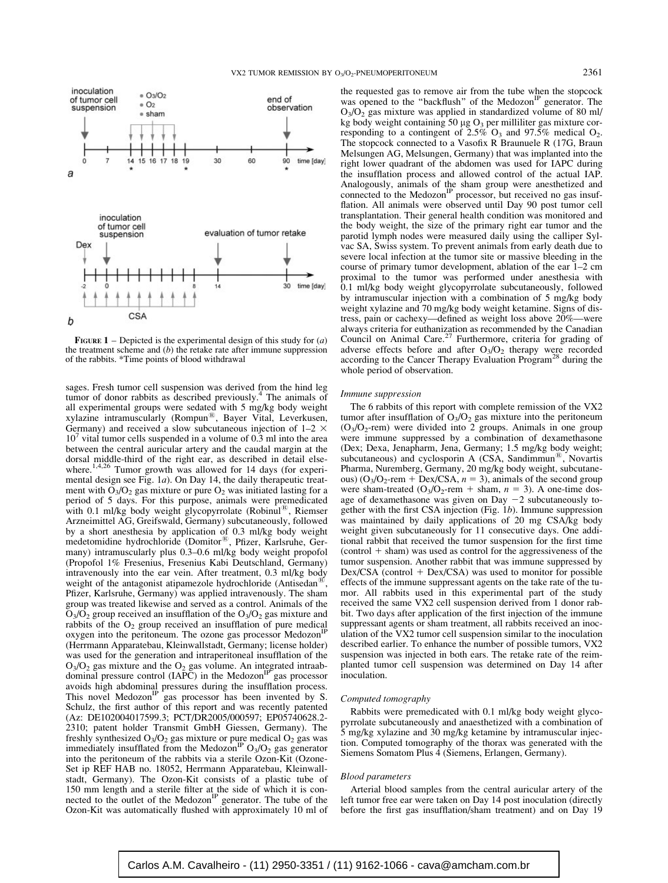

FIGURE  $1$  – Depicted is the experimental design of this study for  $(a)$ the treatment scheme and  $(b)$  the retake rate after immune suppression of the rabbits. \*Time points of blood withdrawal

sages. Fresh tumor cell suspension was derived from the hind leg tumor of donor rabbits as described previously. $4$  The animals of all experimental groups were sedated with 5 mg/kg body weight xylazine intramuscularly (Rompun<sup>®</sup>, Bayer Vital, Leverkusen, Germany) and received a slow subcutaneous injection of  $1-2 \times$  $10<sup>7</sup>$  vital tumor cells suspended in a volume of 0.3 ml into the area between the central auricular artery and the caudal margin at the dorsal middle-third of the right ear, as described in detail elsewhere.<sup>1,4,26</sup> Tumor growth was allowed for 14 days (for experimental design see Fig. 1a). On Day 14, the daily therapeutic treatment with  $O_3/O_2$  gas mixture or pure  $O_2$  was initiated lasting for a period of 5 days. For this purpose, animals were premedicated with 0.1 ml/kg body weight glycopyrrolate (Robinul®, Riemser Arzneimittel AG, Greifswald, Germany) subcutaneously, followed by a short anesthesia by application of 0.3 ml/kg body weight medetomidine hydrochloride (Domitor®, Pfizer, Karlsruhe, Germany) intramuscularly plus 0.3–0.6 ml/kg body weight propofol (Propofol 1% Fresenius, Fresenius Kabi Deutschland, Germany) intravenously into the ear vein. After treatment, 0.3 ml/kg body weight of the antagonist atipamezole hydrochloride (Antisedan<sup>88</sup>, Pfizer, Karlsruhe, Germany) was applied intravenously. The sham group was treated likewise and served as a control. Animals of the  $O_3/O_2$  group received an insufflation of the  $O_3/O_2$  gas mixture and rabbits of the  $O_2$  group received an insufflation of pure medical oxygen into the peritoneum. The ozone gas processor Medozon<sup>1</sup> (Herrmann Apparatebau, Kleinwallstadt, Germany; license holder) was used for the generation and intraperitoneal insufflation of the  $O_3/O_2$  gas mixture and the  $O_2$  gas volume. An integrated intraab-<br>dominal pressure control (IAPC) in the Medozon<sup>IP</sup> gas processor dominal pressure control (IAPC) in the Medozon<sup>IP</sup> gas processor avoids high abdominal pressures during the insufflation process. This novel Medozon<sup>IP</sup> gas processor has been invented by S. Schulz, the first author of this report and was recently patented (Az: DE102004017599.3; PCT/DR2005/000597; EP05740628.2- 2310; patent holder Transmit GmbH Giessen, Germany). The freshly synthesized  $O_3/O_2$  gas mixture or pure medical  $O_2$  gas was immediately insufflated from the Medozon<sup>IP</sup> O<sub>3</sub>/O<sub>2</sub> gas generator into the peritoneum of the rabbits via a sterile Ozon-Kit (Ozone-Set ip REF HAB no. 18052, Herrmann Apparatebau, Kleinwallstadt, Germany). The Ozon-Kit consists of a plastic tube of 150 mm length and a sterile filter at the side of which it is connected to the outlet of the Medozon<sup>IP</sup> generator. The tube of the Ozon-Kit was automatically flushed with approximately 10 ml of

the requested gas to remove air from the tube when the stopcock was opened to the "backflush" of the Medozon<sup>IP</sup> generator. The  $O<sub>3</sub>/O<sub>2</sub>$  gas mixture was applied in standardized volume of 80 ml/ kg body weight containing 50  $\mu$ g O<sub>3</sub> per milliliter gas mixture corresponding to a contingent of 2.5%  $O_3$  and 97.5% medical  $O_2$ . The stopcock connected to a Vasofix R Braunuele R (17G, Braun Melsungen AG, Melsungen, Germany) that was implanted into the right lower quadrant of the abdomen was used for IAPC during the insufflation process and allowed control of the actual IAP. Analogously, animals of the sham group were anesthetized and connected to the Medozon<sup>IP</sup> processor, but received no gas insufflation. All animals were observed until Day 90 post tumor cell transplantation. Their general health condition was monitored and the body weight, the size of the primary right ear tumor and the parotid lymph nodes were measured daily using the calliper Sylvac SA, Swiss system. To prevent animals from early death due to severe local infection at the tumor site or massive bleeding in the course of primary tumor development, ablation of the ear 1–2 cm proximal to the tumor was performed under anesthesia with 0.1 ml/kg body weight glycopyrrolate subcutaneously, followed

by intramuscular injection with a combination of 5 mg/kg body weight xylazine and 70 mg/kg body weight ketamine. Signs of distress, pain or cachexy—defined as weight loss above 20%—were always criteria for euthanization as recommended by the Canadian Council on Animal Care.<sup>27</sup> Furthermore, criteria for grading of adverse effects before and after  $O_3/O_2$  therapy were recorded according to the Cancer Therapy Evaluation Program<sup>28</sup> during the whole period of observation.

## Immune suppression

The 6 rabbits of this report with complete remission of the VX2 tumor after insufflation of  $O_3/O_2$  gas mixture into the peritoneum  $(O_3/O_2$ -rem) were divided into 2 groups. Animals in one group were immune suppressed by a combination of dexamethasone (Dex; Dexa, Jenapharm, Jena, Germany; 1.5 mg/kg body weight; subcutaneous) and cyclosporin A  $(CSA, Sandimmun<sup>(8)</sup>, Novartis)$ Pharma, Nuremberg, Germany, 20 mg/kg body weight, subcutaneous) (O<sub>3</sub>/O<sub>2</sub>-rem + Dex/CSA,  $n = 3$ ), animals of the second group were sham-treated  $(O_3/O_2$ -rem + sham,  $n = 3$ ). A one-time dosage of dexamethasone was given on Day  $-2$  subcutaneously together with the first CSA injection (Fig. 1b). Immune suppression was maintained by daily applications of 20 mg CSA/kg body weight given subcutaneously for 11 consecutive days. One additional rabbit that received the tumor suspension for the first time  $(control + sham)$  was used as control for the aggressiveness of the tumor suspension. Another rabbit that was immune suppressed by  $Dex/CSA$  (control +  $Dex/CSA$ ) was used to monitor for possible effects of the immune suppressant agents on the take rate of the tumor. All rabbits used in this experimental part of the study received the same VX2 cell suspension derived from 1 donor rabbit. Two days after application of the first injection of the immune suppressant agents or sham treatment, all rabbits received an inoculation of the VX2 tumor cell suspension similar to the inoculation described earlier. To enhance the number of possible tumors, VX2 suspension was injected in both ears. The retake rate of the reimplanted tumor cell suspension was determined on Day 14 after inoculation.

#### Computed tomography

Rabbits were premedicated with 0.1 ml/kg body weight glycopyrrolate subcutaneously and anaesthetized with a combination of 5 mg/kg xylazine and 30 mg/kg ketamine by intramuscular injection. Computed tomography of the thorax was generated with the Siemens Somatom Plus 4 (Siemens, Erlangen, Germany).

# Blood parameters

Arterial blood samples from the central auricular artery of the left tumor free ear were taken on Day 14 post inoculation (directly before the first gas insufflation/sham treatment) and on Day 19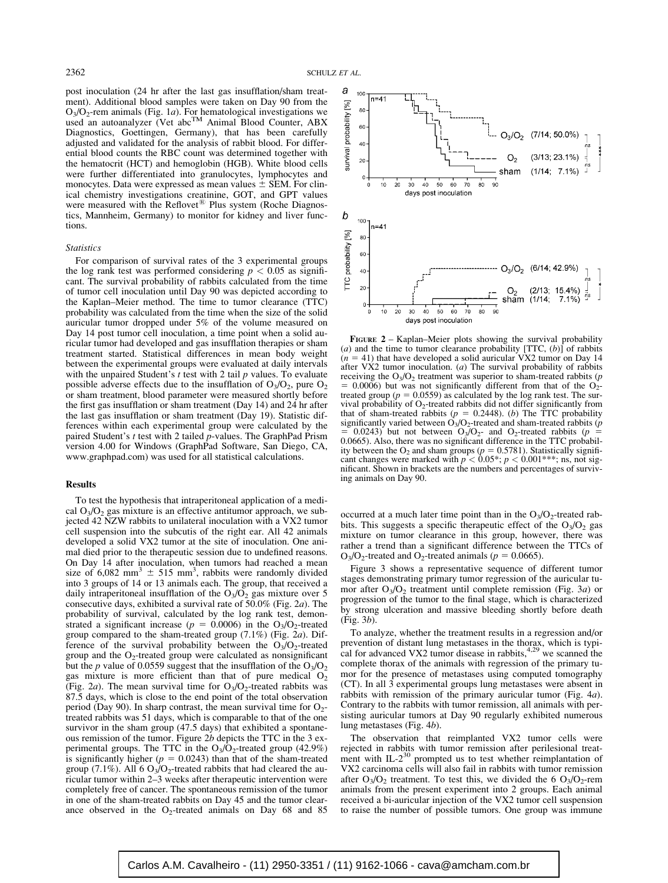post inoculation (24 hr after the last gas insufflation/sham treatment). Additional blood samples were taken on Day 90 from the  $O_3/O_2$ -rem animals (Fig. 1*a*). For hematological investigations we used an autoanalyzer (Vet abc<sup>TM</sup> Animal Blood Counter, ABX Diagnostics, Goettingen, Germany), that has been carefully adjusted and validated for the analysis of rabbit blood. For differential blood counts the RBC count was determined together with the hematocrit (HCT) and hemoglobin (HGB). White blood cells were further differentiated into granulocytes, lymphocytes and monocytes. Data were expressed as mean values  $\pm$  SEM. For clinical chemistry investigations creatinine, GOT, and GPT values were measured with the Reflovet<sup>®</sup> Plus system (Roche Diagnostics, Mannheim, Germany) to monitor for kidney and liver functions.

#### **Statistics**

For comparison of survival rates of the 3 experimental groups the log rank test was performed considering  $p < 0.05$  as significant. The survival probability of rabbits calculated from the time of tumor cell inoculation until Day 90 was depicted according to the Kaplan–Meier method. The time to tumor clearance (TTC) probability was calculated from the time when the size of the solid auricular tumor dropped under 5% of the volume measured on Day 14 post tumor cell inoculation, a time point when a solid auricular tumor had developed and gas insufflation therapies or sham treatment started. Statistical differences in mean body weight between the experimental groups were evaluated at daily intervals with the unpaired Student's  $t$  test with 2 tail  $p$  values. To evaluate possible adverse effects due to the insufflation of  $O_3/O_2$ , pure  $O_2$ or sham treatment, blood parameter were measured shortly before the first gas insufflation or sham treatment (Day 14) and 24 hr after the last gas insufflation or sham treatment (Day 19). Statistic differences within each experimental group were calculated by the paired Student's t test with 2 tailed p-values. The GraphPad Prism version 4.00 for Windows (GraphPad Software, San Diego, CA, www.graphpad.com) was used for all statistical calculations.

### Results

To test the hypothesis that intraperitoneal application of a medical  $O_3/O_2$  gas mixture is an effective antitumor approach, we subjected 42 NZW rabbits to unilateral inoculation with a VX2 tumor cell suspension into the subcutis of the right ear. All 42 animals developed a solid VX2 tumor at the site of inoculation. One animal died prior to the therapeutic session due to undefined reasons. On Day 14 after inoculation, when tumors had reached a mean size of 6,082 mm<sup>3</sup>  $\pm$  515 mm<sup>3</sup>, rabbits were randomly divided into 3 groups of 14 or 13 animals each. The group, that received a daily intraperitoneal insufflation of the  $O<sub>3</sub>/O<sub>2</sub>$  gas mixture over 5 consecutive days, exhibited a survival rate of  $50.0\%$  (Fig. 2a). The probability of survival, calculated by the log rank test, demonstrated a significant increase ( $p = 0.0006$ ) in the O<sub>3</sub>/O<sub>2</sub>-treated group compared to the sham-treated group (7.1%) (Fig. 2a). Difference of the survival probability between the  $O_3/O_2$ -treated group and the  $O<sub>2</sub>$ -treated group were calculated as nonsignificant but the p value of 0.0559 suggest that the insufflation of the  $O_3/O_2$ gas mixture is more efficient than that of pure medical  $O_2$ (Fig. 2*a*). The mean survival time for  $O_3/O_2$ -treated rabbits was 87.5 days, which is close to the end point of the total observation period (Day 90). In sharp contrast, the mean survival time for  $O_2$ treated rabbits was 51 days, which is comparable to that of the one survivor in the sham group (47.5 days) that exhibited a spontaneous remission of the tumor. Figure 2b depicts the TTC in the 3 experimental groups. The TTC in the  $O_3/O_2$ -treated group (42.9%) is significantly higher ( $p = 0.0243$ ) than that of the sham-treated group (7.1%). All 6 O<sub>3</sub>/O<sub>2</sub>-treated rabbits that had cleared the auricular tumor within 2–3 weeks after therapeutic intervention were completely free of cancer. The spontaneous remission of the tumor in one of the sham-treated rabbits on Day 45 and the tumor clearance observed in the  $O<sub>2</sub>$ -treated animals on Day 68 and 85



FIGURE 2 – Kaplan–Meier plots showing the survival probability  $(a)$  and the time to tumor clearance probability [TTC,  $(b)$ ] of rabbits  $(n = 41)$  that have developed a solid auricular VX2 tumor on Day 14 after VX2 tumor inoculation. (*a*) The survival probability of rabbits receiving the  $O_3/O_2$  treatment was superior to sham-treated rabbits (*p*  $r = 0.0006$ ) but was not significantly different from that of the O<sub>2</sub>treated group ( $p = 0.0559$ ) as calculated by the log rank test. The survival probability of  $O_2$ -treated rabbits did not differ significantly from that of sham-treated rabbits ( $p = 0.2448$ ). (b) The TTC probability significantly varied between O<sub>3</sub>/O<sub>2</sub>-treated and sham-treated rabbits (p 0.0243) but not between  $O_3/O_2$ - and  $O_2$ -treated rabbits (p 0.0665). Also, there was no significant difference in the TTC probability between the O<sub>2</sub> and sham groups ( $p = 0.5781$ ). Statistically significant changes were marked with  $p < 0.05^*$ ;  $p < 0.001^{***}$ ; ns, not significant. Shown in brackets are the numbers and percentages of surviving animals on Day 90.

occurred at a much later time point than in the  $O_3/O_2$ -treated rabbits. This suggests a specific therapeutic effect of the  $O_3/O_2$  gas mixture on tumor clearance in this group, however, there was rather a trend than a significant difference between the TTCs of  $O_3/O_2$ -treated and  $O_2$ -treated animals ( $p = 0.0665$ ).

Figure 3 shows a representative sequence of different tumor stages demonstrating primary tumor regression of the auricular tumor after  $O_3/O_2$  treatment until complete remission (Fig. 3a) or progression of the tumor to the final stage, which is characterized by strong ulceration and massive bleeding shortly before death (Fig. 3b).

To analyze, whether the treatment results in a regression and/or prevention of distant lung metastases in the thorax, which is typical for advanced VX2 tumor disease in rabbits,<sup>4,29</sup> we scanned the complete thorax of the animals with regression of the primary tumor for the presence of metastases using computed tomography (CT). In all 3 experimental groups lung metastases were absent in rabbits with remission of the primary auricular tumor (Fig. 4a). Contrary to the rabbits with tumor remission, all animals with persisting auricular tumors at Day 90 regularly exhibited numerous lung metastases (Fig. 4b).

The observation that reimplanted VX2 tumor cells were rejected in rabbits with tumor remission after perilesional treatment with  $IL-2^{30}$  prompted us to test whether reimplantation of VX2 carcinoma cells will also fail in rabbits with tumor remission after  $O_3/O_2$  treatment. To test this, we divided the 6  $O_3/O_2$ -rem animals from the present experiment into 2 groups. Each animal received a bi-auricular injection of the VX2 tumor cell suspension to raise the number of possible tumors. One group was immune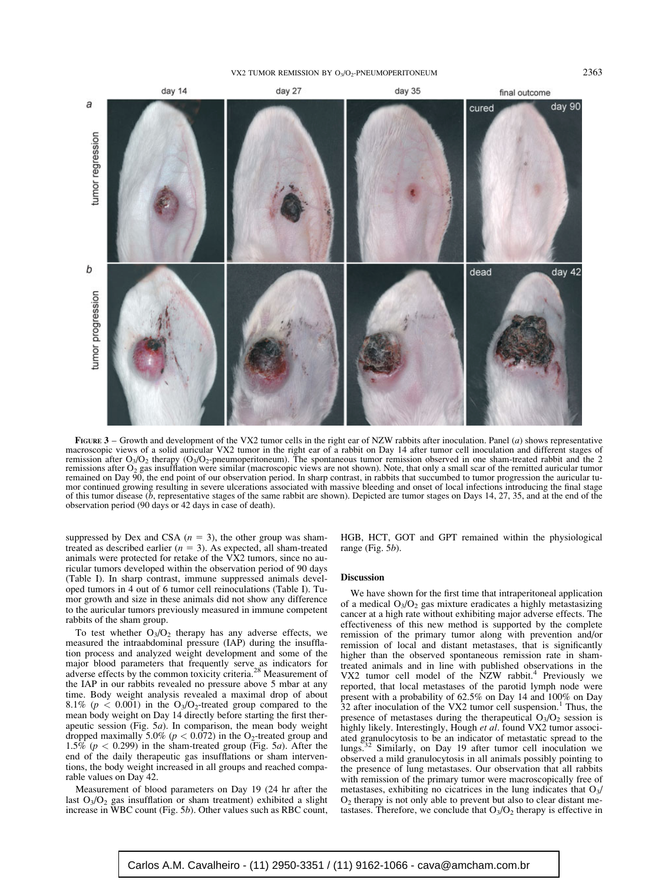# VX2 TUMOR REMISSION BY  $O_3/O_2$ -PNEUMOPERITONEUM 2363



FIGURE  $3$  – Growth and development of the VX2 tumor cells in the right ear of NZW rabbits after inoculation. Panel (a) shows representative macroscopic views of a solid auricular VX2 tumor in the right ear of a rabbit on Day 14 after tumor cell inoculation and different stages of remission after  $O_3/O_2$  therapy  $(O_3/O_2$ -pneumoperitoneum). The spontaneous tumor remission observed in one sham-treated rabbit and the 2 remissions after O<sub>2</sub> gas insufflation were similar (macroscopic views are not shown). Note, that only a small scar of the remitted auricular tumor remained on Day 90, the end point of our observation period. In sharp contrast, in rabbits that succumbed to tumor progression the auricular tumor continued growing resulting in severe ulcerations associated with massive bleeding and onset of local infections introducing the final stage of this tumor disease (b, representative stages of the same rabbit are shown). Depicted are tumor stages on Days 14, 27, 35, and at the end of the observation period (90 days or 42 days in case of death).

suppressed by Dex and CSA  $(n = 3)$ , the other group was shamtreated as described earlier ( $n = 3$ ). As expected, all sham-treated animals were protected for retake of the VX2 tumors, since no auricular tumors developed within the observation period of 90 days (Table I). In sharp contrast, immune suppressed animals developed tumors in 4 out of 6 tumor cell reinoculations (Table I). Tumor growth and size in these animals did not show any difference to the auricular tumors previously measured in immune competent rabbits of the sham group.

To test whether  $O_3/O_2$  therapy has any adverse effects, we measured the intraabdominal pressure (IAP) during the insufflation process and analyzed weight development and some of the major blood parameters that frequently serve as indicators for adverse effects by the common toxicity criteria.<sup>28</sup> Measurement of the IAP in our rabbits revealed no pressure above 5 mbar at any time. Body weight analysis revealed a maximal drop of about 8.1% ( $p < 0.001$ ) in the O<sub>3</sub>/O<sub>2</sub>-treated group compared to the mean body weight on Day 14 directly before starting the first therapeutic session (Fig.  $5a$ ). In comparison, the mean body weight dropped maximally 5.0% ( $p < 0.072$ ) in the O<sub>2</sub>-treated group and 1.5% ( $p < 0.299$ ) in the sham-treated group (Fig. 5*a*). After the end of the daily therapeutic gas insufflations or sham interventions, the body weight increased in all groups and reached comparable values on Day 42.

Measurement of blood parameters on Day 19 (24 hr after the last  $O_3/O_2$  gas insufflation or sham treatment) exhibited a slight increase in WBC count (Fig. 5b). Other values such as RBC count, HGB, HCT, GOT and GPT remained within the physiological range (Fig. 5b).

#### Discussion

We have shown for the first time that intraperitoneal application of a medical  $O_3/O_2$  gas mixture eradicates a highly metastasizing cancer at a high rate without exhibiting major adverse effects. The effectiveness of this new method is supported by the complete remission of the primary tumor along with prevention and/or remission of local and distant metastases, that is significantly higher than the observed spontaneous remission rate in shamtreated animals and in line with published observations in the VX2 tumor cell model of the NZW rabbit.<sup>4</sup> Previously we reported, that local metastases of the parotid lymph node were present with a probability of 62.5% on Day 14 and 100% on Day  $32$  after inoculation of the VX2 tumor cell suspension.<sup>1</sup> Thus, the presence of metastases during the therapeutical  $O_3/O_2$  session is highly likely. Interestingly, Hough et al. found VX2 tumor associated granulocytosis to be an indicator of metastatic spread to the lungs.<sup>32</sup> Similarly, on Day 19 after tumor cell inoculation we observed a mild granulocytosis in all animals possibly pointing to the presence of lung metastases. Our observation that all rabbits with remission of the primary tumor were macroscopically free of metastases, exhibiting no cicatrices in the lung indicates that  $O_3/$  $O<sub>2</sub>$  therapy is not only able to prevent but also to clear distant metastases. Therefore, we conclude that  $O_3/O_2$  therapy is effective in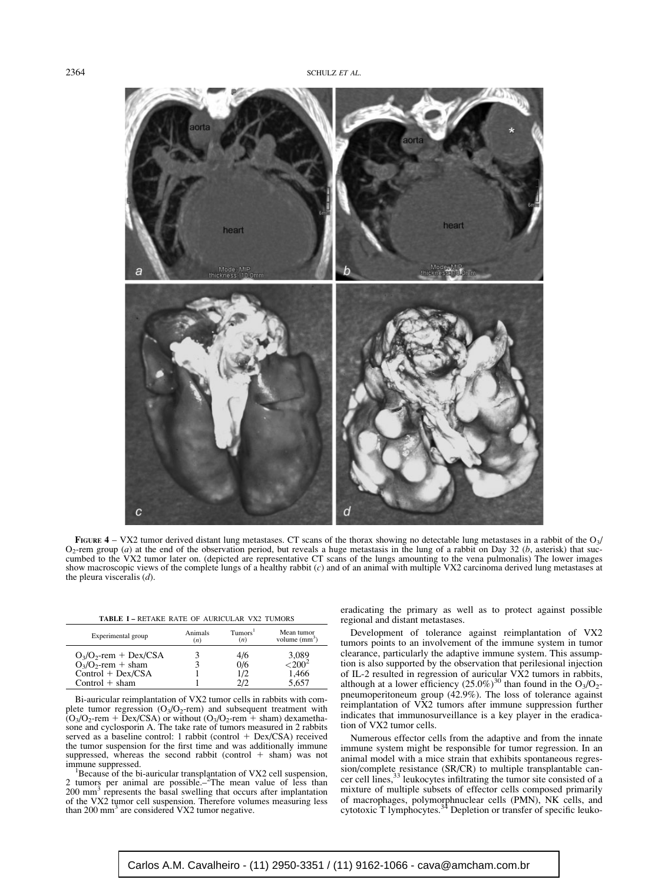2364 SCHULZ ET AL.



FIGURE  $4 - \text{VX2}$  tumor derived distant lung metastases. CT scans of the thorax showing no detectable lung metastases in a rabbit of the O<sub>3</sub>/  $O_2$ -rem group (*a*) at the end of the observation period, but reveals a huge metastasis in the lung of a rabbit on Day 32 (*b*, asterisk) that succumbed to the VX2 tumor later on. (depicted are representative CT scans of the lungs amounting to the vena pulmonalis) The lower images show macroscopic views of the complete lungs of a healthy rabbit (c) and of an animal with multiple VX2 carcinoma derived lung metastases at the pleura visceralis  $(d)$ .

| TABLE I - RETAKE RATE OF AURICULAR VX2 TUMORS |  |
|-----------------------------------------------|--|
|-----------------------------------------------|--|

| Experimental group       | Animals<br>(n) | Tumors <sup>1</sup><br>(n) | Mean tumor<br>volume $(mm3)$ |
|--------------------------|----------------|----------------------------|------------------------------|
| $O_3/O_2$ -rem + Dex/CSA |                | 4/6                        | $\frac{3,089}{<}$            |
| $O_3/O_2$ -rem + sham    |                | 0/6                        |                              |
| $Control + Dex/CSA$      |                | 1/2                        | 1,466                        |
| $Control + sham$         |                | 2D                         | 5.657                        |

Bi-auricular reimplantation of VX2 tumor cells in rabbits with complete tumor regression  $(O_3/O_2$ -rem) and subsequent treatment with  $(O_3/O_2$ -rem + Dex/CSA) or without  $(O_3/O_2$ -rem + sham) dexamethasone and cyclosporin A. The take rate of tumors measured in 2 rabbits served as a baseline control: 1 rabbit (control + Dex/CSA) received the tumor suspension for the first time and was additionally immune suppressed, whereas the second rabbit (control  $+$  sham) was not immune suppressed.

Because of the bi-auricular transplantation of VX2 cell suspension,<br>2 tumors per animal are possible.—<sup>2</sup>The mean value of less than<br>200 mm<sup>3</sup> represents the basal swelling that occurs after implantation of the VX2 tumor cell suspension. Therefore volumes measuring less than 200 mm<sup>3</sup> are considered VX2 tumor negative.

eradicating the primary as well as to protect against possible regional and distant metastases.

Development of tolerance against reimplantation of VX2 tumors points to an involvement of the immune system in tumor clearance, particularly the adaptive immune system. This assumption is also supported by the observation that perilesional injection of IL-2 resulted in regression of auricular VX2 tumors in rabbits, although at a lower efficiency  $(25.0\%)^{30}$  than found in the  $O_3/O_2$ pneumoperitoneum group (42.9%). The loss of tolerance against reimplantation of VX2 tumors after immune suppression further indicates that immunosurveillance is a key player in the eradication of VX2 tumor cells.

Numerous effector cells from the adaptive and from the innate immune system might be responsible for tumor regression. In an animal model with a mice strain that exhibits spontaneous regression/complete resistance (SR/CR) to multiple transplantable cancer cell lines,<sup>33</sup> leukocytes infiltrating the tumor site consisted of a mixture of multiple subsets of effector cells composed primarily of macrophages, polymorphnuclear cells (PMN), NK cells, and cytotoxic T lymphocytes.<sup>34</sup> Depletion or transfer of specific leuko-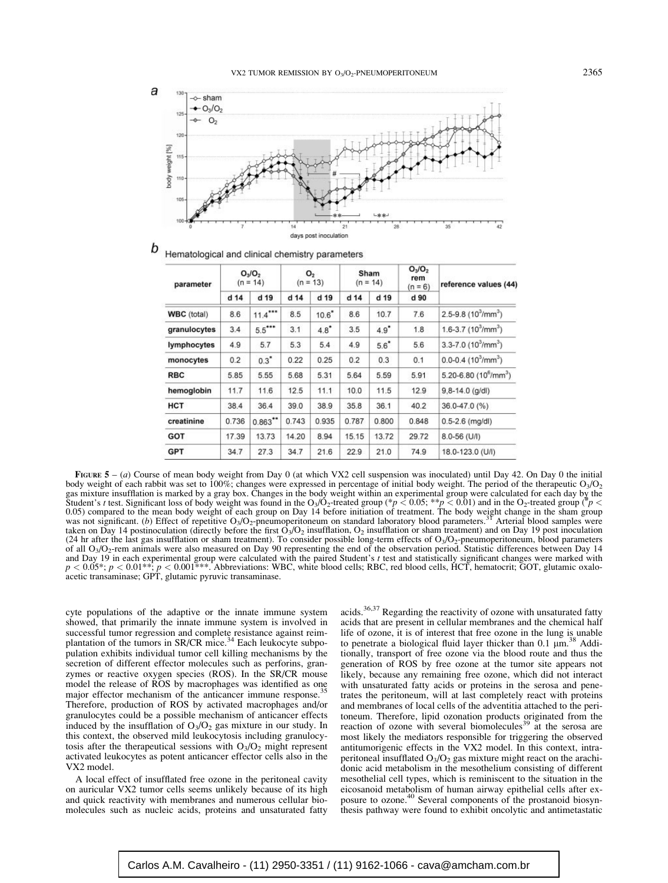

Hematological and clinical chemistry parameters

| parameter    | $O_3/O_2$<br>$(n = 14)$ |            | O <sub>2</sub><br>$(n = 13)$ |         | Sham<br>$(n = 14)$ |         | $O_3/O_2$<br>rem<br>$(n = 6)$ | reference values (44)                           |
|--------------|-------------------------|------------|------------------------------|---------|--------------------|---------|-------------------------------|-------------------------------------------------|
|              | $d$ 14                  | d 19       | $d$ 14                       | d 19    | $d$ 14             | d 19    | d 90                          |                                                 |
| WBC (total)  | 8.6                     | $11.4***$  | 8.5                          | $10.6*$ | 8.6                | 10.7    | 7.6                           | 2.5-9.8 $(10^3/\text{mm}^3)$                    |
| granulocytes | 3.4                     | $5.5***$   | 3.1                          | $4.8^*$ | 3.5                | $4.9^*$ | 1.8                           | 1.6-3.7 $(10^3/\text{mm}^3)$                    |
| lymphocytes  | 4.9                     | 5.7        | 5.3                          | 5.4     | 4.9                | 5.6"    | 5.6                           | $3.3 - 7.0$ (10 <sup>3</sup> /mm <sup>3</sup> ) |
| monocytes    | 0.2                     | 0.3"       | 0.22                         | 0.25    | 0.2                | 0.3     | 0.1                           | $0.0 - 0.4$ (10 <sup>3</sup> /mm <sup>3</sup> ) |
| <b>RBC</b>   | 5.85                    | 5.55       | 5.68                         | 5.31    | 5.64               | 5.59    | 5.91                          | 5.20-6.80 $(10^6/\text{mm}^3)$                  |
| hemoglobin   | 11.7                    | 11.6       | 12.5                         | 11.1    | 10.0               | 11.5    | 12.9                          | $9,8-14.0$ (g/dl)                               |
| HCT          | 38.4                    | 36.4       | 39.0                         | 38.9    | 35.8               | 36.1    | 40.2                          | 36.0-47.0 (%)                                   |
| creatinine   | 0.736                   | $0.863$ ** | 0.743                        | 0.935   | 0.787              | 0.800   | 0.848                         | $0.5 - 2.6$ (mg/dl)                             |
| <b>GOT</b>   | 17.39                   | 13.73      | 14.20                        | 8.94    | 15.15              | 13.72   | 29.72                         | 8.0-56 (U/I)                                    |
| <b>GPT</b>   | 34.7                    | 27.3       | 34.7                         | 21.6    | 22.9               | 21.0    | 74.9                          | 18.0-123.0 (U/I)                                |

FIGURE  $5 - (a)$  Course of mean body weight from Day 0 (at which VX2 cell suspension was inoculated) until Day 42. On Day 0 the initial body weight of each rabbit was set to 100%; changes were expressed in percentage of initial body weight. The period of the therapeutic O<sub>3</sub>/O<sub>2</sub> gas mixture insufflation is marked by a gray box. Changes in the body weight within an experimental group were calculated for each day by the Student's t test. Significant loss of body weight was found in the O<sub>3</sub>/O<sub>2</sub>-treated group (\*p < 0.05; \*\*p < 0.01) and in the O<sub>2</sub>-treated group (\*p < 0.05) compared to the mean body weight of each group on Day 14 before initiation of treatment. The body weight change in the sham group was not significant. (b) Effect of repetitive O<sub>3</sub>/O<sub>2</sub>-pneumoperitoneum on standard l taken on Day 14 postinoculation (directly before the first  $O_3/O_2$  insufflation,  $O_2$  insufflation or sham treatment) and on Day 19 post inoculation (24 hr after the last gas insufflation or sham treatment). To consider possible long-term effects of  $O<sub>3</sub>/O<sub>2</sub>$ -pneumoperitoneum, blood parameters of all  $O<sub>3</sub>/O<sub>2</sub>$ -rem animals were also measured on Day 90 representing the end of the observation period. Statistic differences between Day 14 and Day 19 in each experimental group were calculated with the paired Student's t test and statistically significant changes were marked with  $p < 0.05$ \*;  $p < 0.01$ \*\*;  $p < 0.001$ \*\*\*. Abbreviations: WBC, white blood cells; RBC, red blood cells, HCT, hematocrit; GOT, glutamic oxaloacetic transaminase; GPT, glutamic pyruvic transaminase.

cyte populations of the adaptive or the innate immune system showed, that primarily the innate immune system is involved in successful tumor regression and complete resistance against reim-<br>plantation of the tumors in SR/CR mice.<sup>34</sup> Each leukocyte subpopulation exhibits individual tumor cell killing mechanisms by the secretion of different effector molecules such as perforins, granzymes or reactive oxygen species (ROS). In the SR/CR mouse model the release of ROS by macrophages was identified as one major effector mechanism of the anticancer immune response. Therefore, production of ROS by activated macrophages and/or granulocytes could be a possible mechanism of anticancer effects induced by the insufflation of  $O_3/O_2$  gas mixture in our study. In this context, the observed mild leukocytosis including granulocytosis after the therapeutical sessions with  $O_3/O_2$  might represent activated leukocytes as potent anticancer effector cells also in the VX2 model.

A local effect of insufflated free ozone in the peritoneal cavity on auricular VX2 tumor cells seems unlikely because of its high and quick reactivity with membranes and numerous cellular biomolecules such as nucleic acids, proteins and unsaturated fatty

acids. $36,37$  Regarding the reactivity of ozone with unsaturated fatty acids that are present in cellular membranes and the chemical half life of ozone, it is of interest that free ozone in the lung is unable to penetrate a biological fluid layer thicker than  $0.1 \mu m^{38}$  Additionally, transport of free ozone via the blood route and thus the generation of ROS by free ozone at the tumor site appears not likely, because any remaining free ozone, which did not interact with unsaturated fatty acids or proteins in the serosa and penetrates the peritoneum, will at last completely react with proteins and membranes of local cells of the adventitia attached to the peritoneum. Therefore, lipid ozonation products originated from the reaction of ozone with several biomolecules<sup>39</sup> at the serosa are most likely the mediators responsible for triggering the observed antitumorigenic effects in the VX2 model. In this context, intraperitoneal insufflated  $O_3/O_2$  gas mixture might react on the arachidonic acid metabolism in the mesothelium consisting of different mesothelial cell types, which is reminiscent to the situation in the eicosanoid metabolism of human airway epithelial cells after exposure to ozone.<sup>40</sup> Several components of the prostanoid biosynthesis pathway were found to exhibit oncolytic and antimetastatic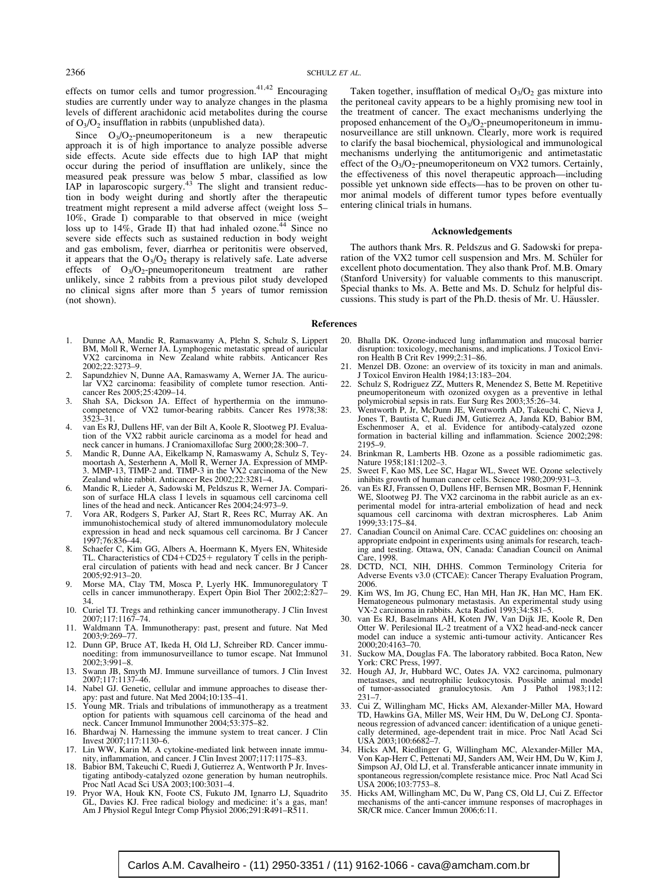effects on tumor cells and tumor progression. $41,42$  Encouraging studies are currently under way to analyze changes in the plasma levels of different arachidonic acid metabolites during the course of  $O_3/O_2$  insufflation in rabbits (unpublished data).

Since  $O_3/O_2$ -pneumoperitoneum is a new therapeutic approach it is of high importance to analyze possible adverse side effects. Acute side effects due to high IAP that might occur during the period of insufflation are unlikely, since the measured peak pressure was below 5 mbar, classified as low<br>IAP in laparoscopic surgery.<sup>43</sup> The slight and transient reduction in body weight during and shortly after the therapeutic treatment might represent a mild adverse affect (weight loss 5– 10%, Grade I) comparable to that observed in mice (weight loss up to  $14\%$ , Grade II) that had inhaled ozone.<sup>44</sup> Since no severe side effects such as sustained reduction in body weight and gas embolism, fever, diarrhea or peritonitis were observed, it appears that the  $O_3/O_2$  therapy is relatively safe. Late adverse effects of O3/O2-pneumoperitoneum treatment are rather unlikely, since 2 rabbits from a previous pilot study developed no clinical signs after more than 5 years of tumor remission (not shown).

the peritoneal cavity appears to be a highly promising new tool in the treatment of cancer. The exact mechanisms underlying the proposed enhancement of the  $O_3/O_2$ -pneumoperitoneum in immunosurveillance are still unknown. Clearly, more work is required to clarify the basal biochemical, physiological and immunological mechanisms underlying the antitumorigenic and antimetastatic effect of the  $O_3/O_2$ -pneumoperitoneum on VX2 tumors. Certainly, the effectiveness of this novel therapeutic approach—including possible yet unknown side effects—has to be proven on other tumor animal models of different tumor types before eventually entering clinical trials in humans.

Taken together, insufflation of medical  $O<sub>3</sub>/O<sub>2</sub>$  gas mixture into

## Acknowledgements

The authors thank Mrs. R. Peldszus and G. Sadowski for preparation of the VX2 tumor cell suspension and Mrs. M. Schüler for excellent photo documentation. They also thank Prof. M.B. Omary (Stanford University) for valuable comments to this manuscript. Special thanks to Ms. A. Bette and Ms. D. Schulz for helpful discussions. This study is part of the Ph.D. thesis of Mr. U. Häussler.

#### References

- 1. Dunne AA, Mandic R, Ramaswamy A, Plehn S, Schulz S, Lippert BM, Moll R, Werner JA. Lymphogenic metastatic spread of auricular VX2 carcinoma in New Zealand white rabbits. Anticancer Res 2002;22:3273–9.
- Sapundzhiev N, Dunne AA, Ramaswamy A, Werner JA. The auricular VX2 carcinoma: feasibility of complete tumor resection. Anticancer Res 2005;25:4209–14.
- 3. Shah SA, Dickson JA. Effect of hyperthermia on the immunocompetence of VX2 tumor-bearing rabbits. Cancer Res 1978;38: 3523–31.
- 4. van Es RJ, Dullens HF, van der Bilt A, Koole R, Slootweg PJ. Evaluation of the VX2 rabbit auricle carcinoma as a model for head and neck cancer in humans. J Craniomaxillofac Surg 2000;28:300–7.
- 5. Mandic R, Dunne AA, Eikelkamp N, Ramaswamy A, Schulz S, Teymoortash A, Sesterhenn A, Moll R, Werner JA. Expression of MMP-3. MMP-13, TIMP-2 and. TIMP-3 in the VX2 carcinoma of the New Zealand white rabbit. Anticancer Res 2002;22:3281–4.
- 6. Mandic R, Lieder A, Sadowski M, Peldszus R, Werner JA. Comparison of surface HLA class I levels in squamous cell carcinoma cell lines of the head and neck. Anticancer Res 2004;24:973–9.
- 7. Vora AR, Rodgers S, Parker AJ, Start R, Rees RC, Murray AK. An immunohistochemical study of altered immunomodulatory molecule expression in head and neck squamous cell carcinoma. Br J Cancer 1997;76:836–44.
- 8. Schaefer C, Kim GG, Albers A, Hoermann K, Myers EN, Whiteside TL. Characteristics of  $CD4+CD25+$  regulatory T cells in the peripheral circulation of patients with head and neck cancer. Br J Cancer 2005;92:913–20.
- 9. Morse MA, Clay TM, Mosca P, Lyerly HK. Immunoregulatory T cells in cancer immunotherapy. Expert Opin Biol Ther 2002;2:827– 34.
- 10. Curiel TJ. Tregs and rethinking cancer immunotherapy. J Clin Invest 2007;117:1167–74.
- 11. Waldmann TA. Immunotherapy: past, present and future. Nat Med 2003;9:269–77.
- 12. Dunn GP, Bruce AT, Ikeda H, Old LJ, Schreiber RD. Cancer immunoediting: from immunosurveillance to tumor escape. Nat Immunol 2002;3:991–8.
- 13. Swann JB, Smyth MJ. Immune surveillance of tumors. J Clin Invest 2007;117:1137–46.
- 14. Nabel GJ. Genetic, cellular and immune approaches to disease ther-apy: past and future. Nat Med 2004;10:135–41.
- 15. Young MR. Trials and tribulations of immunotherapy as a treatment option for patients with squamous cell carcinoma of the head and neck. Cancer Immunol Immunother 2004;53:375–82.
- 16. Bhardwaj N. Harnessing the immune system to treat cancer. J Clin Invest 2007;117:1130–6.
- 17. Lin WW, Karin M. A cytokine-mediated link between innate immunity, inflammation, and cancer. J Clin Invest 2007;117:1175–83.
- 18. Babior BM, Takeuchi C, Ruedi J, Gutierrez A, Wentworth P Jr. Investigating antibody-catalyzed ozone generation by human neutrophils. Proc Natl Acad Sci USA 2003;100:3031–4.
- 19. Pryor WA, Houk KN, Foote CS, Fukuto JM, Ignarro LJ, Squadrito GL, Davies KJ. Free radical biology and medicine: it's a gas, man! Am J Physiol Regul Integr Comp Physiol 2006;291:R491–R511.
- 20. Bhalla DK. Ozone-induced lung inflammation and mucosal barrier disruption: toxicology, mechanisms, and implications. J Toxicol Environ Health B Crit Rev 1999;2:31–86.
- 21. Menzel DB. Ozone: an overview of its toxicity in man and animals. J Toxicol Environ Health 1984;13:183–204.
- 22. Schulz S, Rodriguez ZZ, Mutters R, Menendez S, Bette M. Repetitive pneumoperitoneum with ozonized oxygen as a preventive in lethal polymicrobial sepsis in rats. Eur Surg Res 2003;35:26–34.
- 23. Wentworth P, Jr, McDunn JE, Wentworth AD, Takeuchi C, Nieva J, Jones T, Bautista C, Ruedi JM, Gutierrez A, Janda KD, Babior BM, Eschenmoser A, et al. Evidence for antibody-catalyzed ozone formation in bacterial killing and inflammation. Science 2002;298: 2195–9.
- 24. Brinkman R, Lamberts HB. Ozone as a possible radiomimetic gas. Nature 1958;181:1202–3.
- 25. Sweet F, Kao MS, Lee SC, Hagar WL, Sweet WE. Ozone selectively inhibits growth of human cancer cells. Science 1980;209:931–3.
- 26. van Es RJ, Franssen O, Dullens HF, Bernsen MR, Bosman F, Hennink WE, Slootweg PJ. The VX2 carcinoma in the rabbit auricle as an experimental model for intra-arterial embolization of head and neck squamous cell carcinoma with dextran microspheres. Lab Anim 1999;33:175–84.
- 27. Canadian Council on Animal Care. CCAC guidelines on: choosing an appropriate endpoint in experiments using animals for research, teaching and testing. Ottawa, ON, Canada: Canadian Council on Animal Care, 1998.
- 28. DCTD, NCI, NIH, DHHS. Common Terminology Criteria for Adverse Events v3.0 (CTCAE): Cancer Therapy Evaluation Program, 2006.
- 29. Kim WS, Im JG, Chung EC, Han MH, Han JK, Han MC, Ham EK. Hematogeneous pulmonary metastasis. An experimental study using VX-2 carcinoma in rabbits. Acta Radiol 1993;34:581–5.
- 30. van Es RJ, Baselmans AH, Koten JW, Van Dijk JE, Koole R, Den Otter W. Perilesional IL-2 treatment of a VX2 head-and-neck cancer model can induce a systemic anti-tumour activity. Anticancer Res 2000;20:4163–70.
- 31. Suckow MA, Douglas FA. The laboratory rabbited. Boca Raton, New York: CRC Press, 1997.
- 32. Hough AJ, Jr, Hubbard WC, Oates JA. VX2 carcinoma, pulmonary metastases, and neutrophilic leukocytosis. Possible animal model of tumor-associated granulocytosis. Am J Pathol 1983;112: 231–7.
- 33. Cui Z, Willingham MC, Hicks AM, Alexander-Miller MA, Howard TD, Hawkins GA, Miller MS, Weir HM, Du W, DeLong CJ. Spontaneous regression of advanced cancer: identification of a unique genetically determined, age-dependent trait in mice. Proc Natl Acad Sci USA 2003;100:6682–7.
- 34. Hicks AM, Riedlinger G, Willingham MC, Alexander-Miller MA, Von Kap-Herr C, Pettenati MJ, Sanders AM, Weir HM, Du W, Kim J, Simpson AJ, Old LJ, et al. Transferable anticancer innate immunity in spontaneous regression/complete resistance mice. Proc Natl Acad Sci USA 2006;103:7753–8.
- 35. Hicks AM, Willingham MC, Du W, Pang CS, Old LJ, Cui Z. Effector mechanisms of the anti-cancer immune responses of macrophages in SR/CR mice. Cancer Immun 2006;6:11.